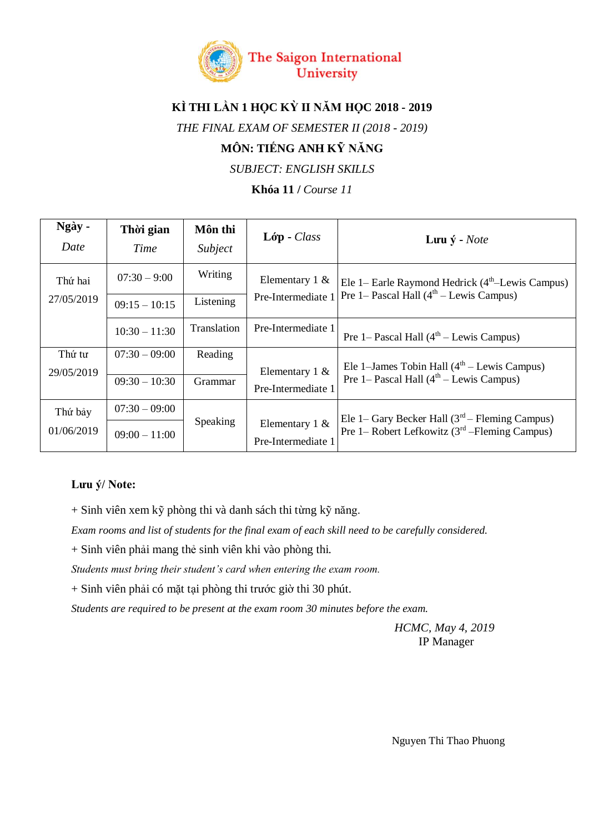

# **KÌ THI LẦN 1 HỌC KỲ II NĂM HỌC 2018 - 2019**

*THE FINAL EXAM OF SEMESTER II (2018 - 2019)*

## **MÔN: TIẾNG ANH KỸ NĂNG**

*SUBJECT: ENGLISH SKILLS*

**Khóa 11 /** *Course 11*

| Ngày -<br>Date        | Thời gian<br>Time | Môn thi<br>Subject | $L$ óp - Class                          | Lutu $\dot{y}$ - <i>Note</i>                                                                         |
|-----------------------|-------------------|--------------------|-----------------------------------------|------------------------------------------------------------------------------------------------------|
| Thứ hai<br>27/05/2019 | $07:30 - 9:00$    | Writing            | Elementary $1 \&$<br>Pre-Intermediate 1 | Ele 1– Earle Raymond Hedrick $(4th$ -Lewis Campus)<br>Pre 1– Pascal Hall $(4th – Lewis Campus)$      |
|                       | $09:15 - 10:15$   | Listening          |                                         |                                                                                                      |
|                       | $10:30 - 11:30$   | Translation        | Pre-Intermediate 1                      | Pre 1– Pascal Hall $(4th – Lewis Campus)$                                                            |
| Thứ tư                | $07:30 - 09:00$   | Reading            | Elementary $1 \&$<br>Pre-Intermediate 1 | Ele 1-James Tobin Hall $(4th - Lewis Campus)$<br>Pre 1– Pascal Hall $(4th – Lewis Campus)$           |
| 29/05/2019            |                   |                    |                                         |                                                                                                      |
|                       | $09:30 - 10:30$   | Grammar            |                                         |                                                                                                      |
| Thứ bảy<br>01/06/2019 | $07:30 - 09:00$   | <b>Speaking</b>    |                                         | Ele 1– Gary Becker Hall $(3rd – Fleming Campus)$<br>Pre 1– Robert Lefkowitz $(3rd – Fleming Campus)$ |
|                       | $09:00 - 11:00$   |                    | Elementary $1 \&$<br>Pre-Intermediate 1 |                                                                                                      |

#### **Lưu ý/ Note:**

+ Sinh viên xem kỹ phòng thi và danh sách thi từng kỹ năng.

*Exam rooms and list of students for the final exam of each skill need to be carefully considered.*

+ Sinh viên phải mang thẻ sinh viên khi vào phòng thi.

*Students must bring their student's card when entering the exam room.*

+ Sinh viên phải có mặt tại phòng thi trước giờ thi 30 phút.

*Students are required to be present at the exam room 30 minutes before the exam.*

*HCMC, May 4, 2019* IP Manager

Nguyen Thi Thao Phuong